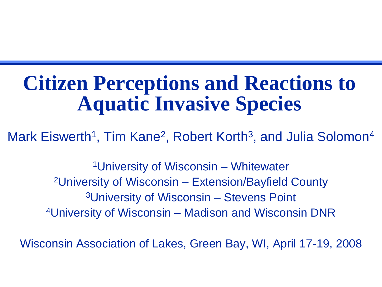#### **Citizen Perceptions and Reactions to Aquatic Invasive Species**

Mark Eiswerth<sup>1</sup>, Tim Kane<sup>2</sup>, Robert Korth<sup>3</sup>, and Julia Solomon<sup>4</sup>

University of Wisconsin – Whitewater University of Wisconsin – Extension/Bayfield County University of Wisconsin – Stevens Point University of Wisconsin – Madison and Wisconsin DNR

Wisconsin Association of Lakes, Green Bay, WI, April 17-19, 2008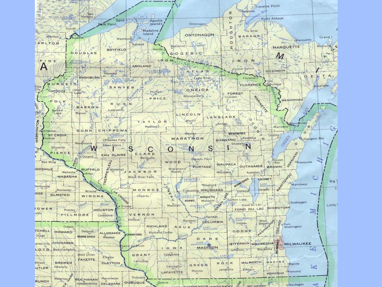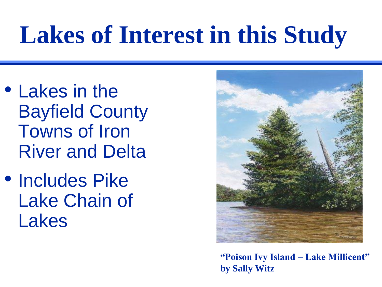# **Lakes of Interest in this Study**

- Lakes in the Bayfield County Towns of Iron River and Delta
- Includes Pike Lake Chain of Lakes



**"Poison Ivy Island – Lake Millicent" by Sally Witz**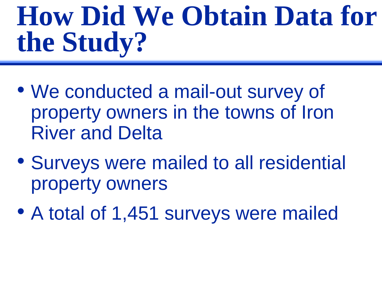# **How Did We Obtain Data for the Study?**

- We conducted a mail-out survey of property owners in the towns of Iron River and Delta
- Surveys were mailed to all residential property owners
- A total of 1,451 surveys were mailed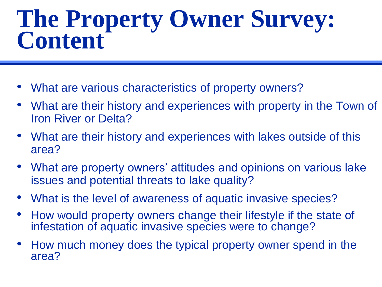### **The Property Owner Survey: Content**

- What are various characteristics of property owners?
- What are their history and experiences with property in the Town of Iron River or Delta?
- What are their history and experiences with lakes outside of this area?
- What are property owners' attitudes and opinions on various lake issues and potential threats to lake quality?
- What is the level of awareness of aquatic invasive species?
- How would property owners change their lifestyle if the state of infestation of aquatic invasive species were to change?
- How much money does the typical property owner spend in the area?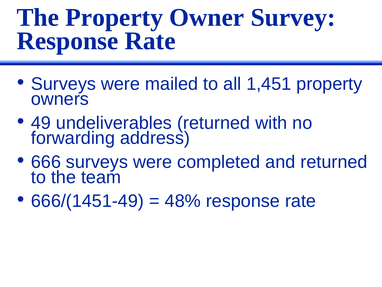### **The Property Owner Survey: Response Rate**

- Surveys were mailed to all 1,451 property owners
- 49 undeliverables (returned with no forwarding address)
- 666 surveys were completed and returned to the team
- $666/(1451-49) = 48\%$  response rate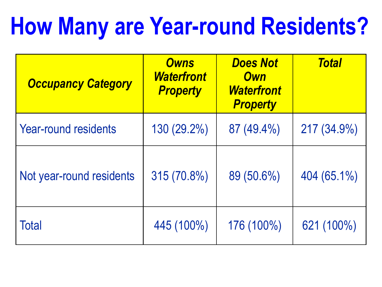# **How Many are Year-round Residents?**

| <b>Occupancy Category</b>   | <b>Owns</b><br><b>Waterfront</b><br><b>Property</b> | <b>Does Not</b><br><b>Own</b><br><b>Waterfront</b><br><b>Property</b> | Total       |
|-----------------------------|-----------------------------------------------------|-----------------------------------------------------------------------|-------------|
| <b>Year-round residents</b> | 130 (29.2%)                                         | 87 (49.4%)                                                            | 217 (34.9%) |
| Not year-round residents    | 315 (70.8%)                                         | 89 (50.6%)                                                            | 404 (65.1%) |
| <b>Total</b>                | 445 (100%)                                          | 176 (100%)                                                            | 621 (100%)  |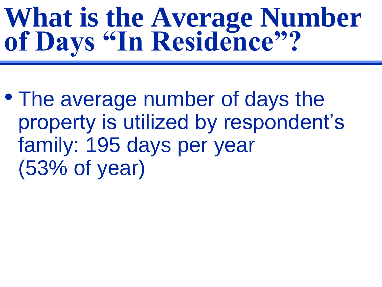# **What is the Average Number of Days "In Residence"?**

• The average number of days the property is utilized by respondent's family: 195 days per year (53% of year)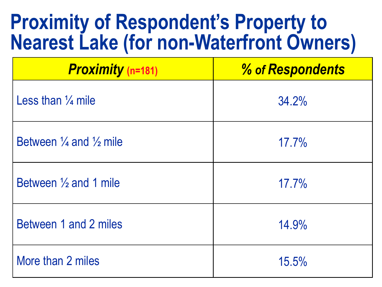### **Proximity of Respondent's Property to Nearest Lake (for non-Waterfront Owners)**

| <b>Proximity (n=181)</b>                     | <b>% of Respondents</b> |
|----------------------------------------------|-------------------------|
| Less than $\frac{1}{4}$ mile                 | 34.2%                   |
| Between $\frac{1}{4}$ and $\frac{1}{2}$ mile | 17.7%                   |
| Between $\frac{1}{2}$ and 1 mile             | 17.7%                   |
| Between 1 and 2 miles                        | 14.9%                   |
| More than 2 miles                            | 15.5%                   |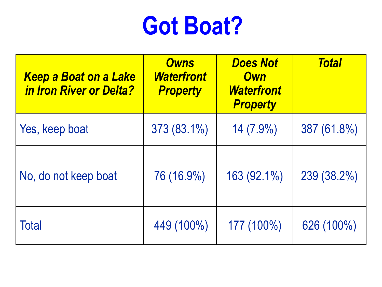# **Got Boat?**

| <b>Keep a Boat on a Lake</b><br>in Iron River or Delta? | <b>Owns</b><br><b>Waterfront</b><br><b>Property</b> | <b>Does Not</b><br><b>Own</b><br><b>Waterfront</b><br><b>Property</b> | Total       |
|---------------------------------------------------------|-----------------------------------------------------|-----------------------------------------------------------------------|-------------|
| Yes, keep boat                                          | 373 (83.1%)                                         | $14(7.9\%)$                                                           | 387 (61.8%) |
| No, do not keep boat                                    | 76 (16.9%)                                          | 163 (92.1%)                                                           | 239 (38.2%) |
| <b>Total</b>                                            | 449 (100%)                                          | 177 (100%)                                                            | 626 (100%)  |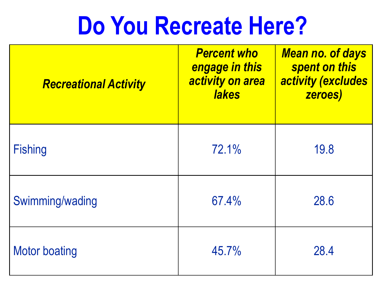# **Do You Recreate Here?**

| <b>Recreational Activity</b> | <b>Percent who</b><br><b>engage in this</b><br>activity on area<br><b>lakes</b> | <b>Mean no. of days</b><br>spent on this<br>activity (excludes<br><b>zeroes)</b> |
|------------------------------|---------------------------------------------------------------------------------|----------------------------------------------------------------------------------|
| <b>Fishing</b>               | 72.1%                                                                           | 19.8                                                                             |
| Swimming/wading              | 67.4%                                                                           | 28.6                                                                             |
| <b>Motor boating</b>         | 45.7%                                                                           | 28.4                                                                             |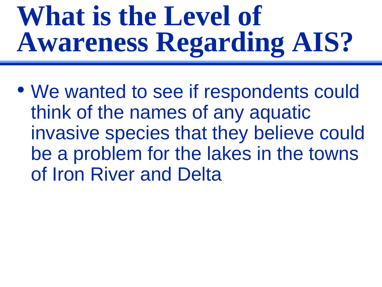# What is the Level of **Awareness Regarding AIS?**

• We wanted to see if respondents could think of the names of any aquatic invasive species that they believe could be a problem for the lakes in the towns of Iron River and Delta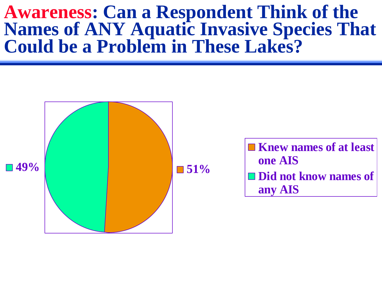#### **Awareness: Can a Respondent Think of the Names of ANY Aquatic Invasive Species That Could be a Problem in These Lakes?**

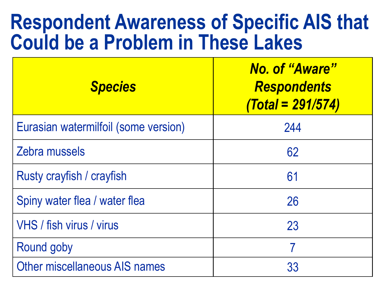#### **Respondent Awareness of Specific AIS that Could be a Problem in These Lakes**

| <b>Species</b>                       | <b>No. of "Aware"</b><br><b>Respondents</b><br>(Total = 291/574) |
|--------------------------------------|------------------------------------------------------------------|
| Eurasian watermilfoil (some version) | 244                                                              |
| Zebra mussels                        | 62                                                               |
| Rusty crayfish / crayfish            | 61                                                               |
| Spiny water flea / water flea        | 26                                                               |
| VHS / fish virus / virus             | 23                                                               |
| Round goby                           |                                                                  |
| <b>Other miscellaneous AIS names</b> | 33                                                               |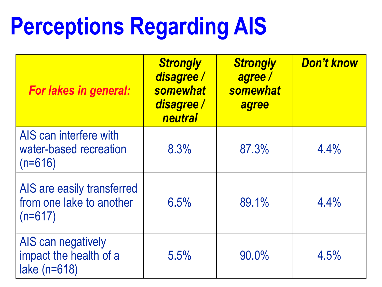# **Perceptions Regarding AIS**

| <b>For lakes in general:</b>                                        | <b>Strongly</b><br>disagree /<br>somewhat<br>disagree/<br>neutral | <b>Strongly</b><br>agree/<br>somewhat<br>agree | <b>Don't know</b> |
|---------------------------------------------------------------------|-------------------------------------------------------------------|------------------------------------------------|-------------------|
| AIS can interfere with<br>water-based recreation<br>$(n=616)$       | 8.3%                                                              | 87.3%                                          | $4.4\%$           |
| AIS are easily transferred<br>from one lake to another<br>$(n=617)$ | 6.5%                                                              | 89.1%                                          | $4.4\%$           |
| AIS can negatively<br>impact the health of a<br>lake (n=618)        | 5.5%                                                              | 90.0%                                          | 4.5%              |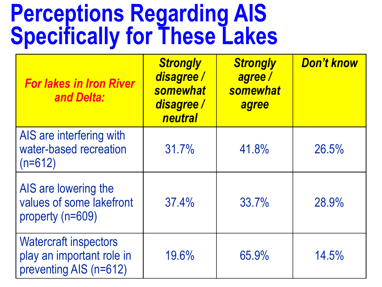### **Perceptions Regarding AIS Specifically for These Lakes**

| <b>For lakes in Iron River</b><br>and Delta:                                        | <b>Strongly</b><br>disagree /<br>somewhat<br>disagree /<br>neutral | <b>Strongly</b><br>agree/<br>somewhat<br>agree | <b>Don't know</b> |
|-------------------------------------------------------------------------------------|--------------------------------------------------------------------|------------------------------------------------|-------------------|
| AIS are interfering with<br>water-based recreation<br>$(n=612)$                     | 31.7%                                                              | 41.8%                                          | 26.5%             |
| AIS are lowering the<br>values of some lakefront<br>property (n=609)                | 37.4%                                                              | 33.7%                                          | 28.9%             |
| <b>Watercraft inspectors</b><br>play an important role in<br>preventing AIS (n=612) | 19.6%                                                              | 65.9%                                          | 14.5%             |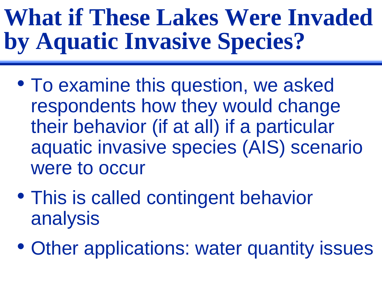**What if These Lakes Were Invaded by Aquatic Invasive Species?**

- To examine this question, we asked respondents how they would change their behavior (if at all) if a particular aquatic invasive species (AIS) scenario were to occur
- This is called contingent behavior analysis
- Other applications: water quantity issues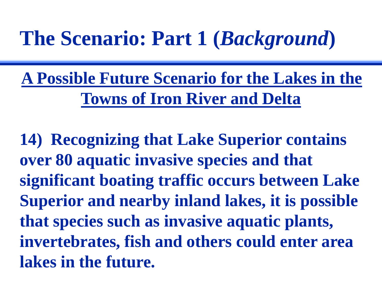#### **The Scenario: Part 1 (***Background***)**

**A Possible Future Scenario for the Lakes in the Towns of Iron River and Delta**

**14) Recognizing that Lake Superior contains over 80 aquatic invasive species and that significant boating traffic occurs between Lake Superior and nearby inland lakes, it is possible that species such as invasive aquatic plants, invertebrates, fish and others could enter area lakes in the future.**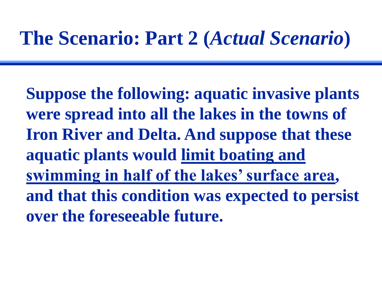#### **The Scenario: Part 2 (***Actual Scenario***)**

**Suppose the following: aquatic invasive plants were spread into all the lakes in the towns of Iron River and Delta. And suppose that these aquatic plants would limit boating and swimming in half of the lakes' surface area, and that this condition was expected to persist over the foreseeable future.**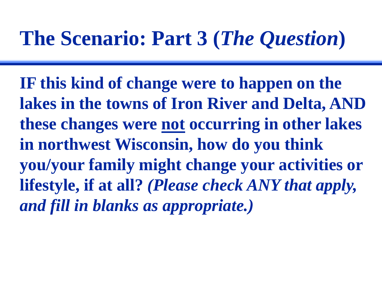### **The Scenario: Part 3 (***The Question***)**

**IF this kind of change were to happen on the lakes in the towns of Iron River and Delta, AND these changes were not occurring in other lakes in northwest Wisconsin, how do you think you/your family might change your activities or lifestyle, if at all?** *(Please check ANY that apply, and fill in blanks as appropriate.)*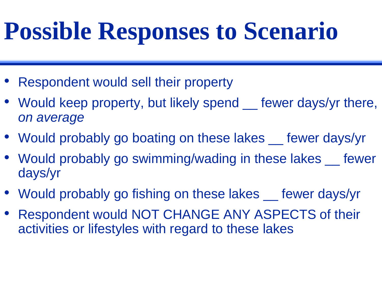# **Possible Responses to Scenario**

- Respondent would sell their property
- Would keep property, but likely spend <u>eagle fewer</u> days/yr there, *on average*
- Would probably go boating on these lakes  $\equiv$  fewer days/yr
- Would probably go swimming/wading in these lakes  $\equiv$  fewer days/yr
- Would probably go fishing on these lakes fewer days/yr
- Respondent would NOT CHANGE ANY ASPECTS of their activities or lifestyles with regard to these lakes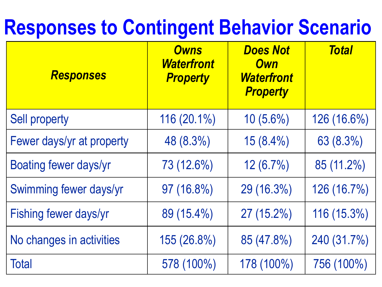### **Responses to Contingent Behavior Scenario**

| <b>Responses</b>             | <b>Owns</b><br><b>Waterfront</b><br><b>Property</b> | <b>Does Not</b><br><b>Own</b><br><b>Waterfront</b><br><b>Property</b> | <b>Total</b> |
|------------------------------|-----------------------------------------------------|-----------------------------------------------------------------------|--------------|
| <b>Sell property</b>         | 116 (20.1%)                                         | $10(5.6\%)$                                                           | 126 (16.6%)  |
| Fewer days/yr at property    | 48 (8.3%)                                           | $15(8.4\%)$                                                           | 63 (8.3%)    |
| <b>Boating fewer days/yr</b> | 73 (12.6%)                                          | $12(6.7\%)$                                                           | 85 (11.2%)   |
| Swimming fewer days/yr       | $97(16.8\%)$                                        | 29 (16.3%)                                                            | 126 (16.7%)  |
| Fishing fewer days/yr        | 89 (15.4%)                                          | $27(15.2\%)$                                                          | 116 (15.3%)  |
| No changes in activities     | 155 (26.8%)                                         | 85 (47.8%)                                                            | 240 (31.7%)  |
| <b>Total</b>                 | 578 (100%)                                          | 178 (100%)                                                            | 756 (100%)   |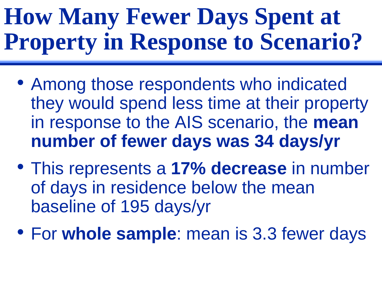# **How Many Fewer Days Spent at Property in Response to Scenario?**

- Among those respondents who indicated they would spend less time at their property in response to the AIS scenario, the **mean number of fewer days was 34 days/yr**
- This represents a **17% decrease** in number of days in residence below the mean baseline of 195 days/yr
- For **whole sample**: mean is 3.3 fewer days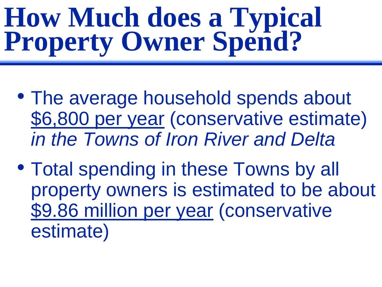# **How Much does a Typical Property Owner Spend?**

- The average household spends about \$6,800 per year (conservative estimate) *in the Towns of Iron River and Delta*
- Total spending in these Towns by all property owners is estimated to be about \$9.86 million per year (conservative estimate)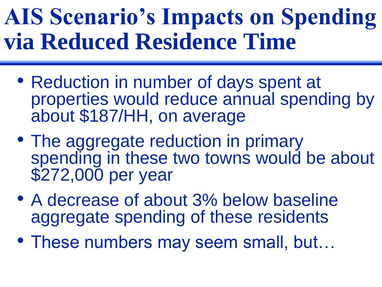### **AIS Scenario's Impacts on Spending via Reduced Residence Time**

- Reduction in number of days spent at properties would reduce annual spending by about \$187/HH, on average
- The aggregate reduction in primary spending in these two towns would be about \$272,000 per year
- A decrease of about 3% below baseline aggregate spending of these residents
- These numbers may seem small, but...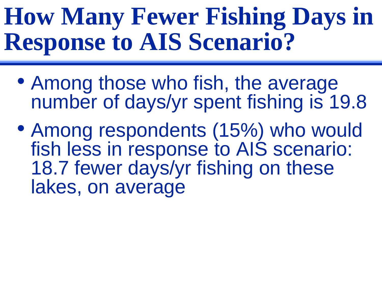# **How Many Fewer Fishing Days in Response to AIS Scenario?**

- Among those who fish, the average number of days/yr spent fishing is 19.8
- Among respondents (15%) who would fish less in response to AIS scenario: 18.7 fewer days/yr fishing on these lakes, on average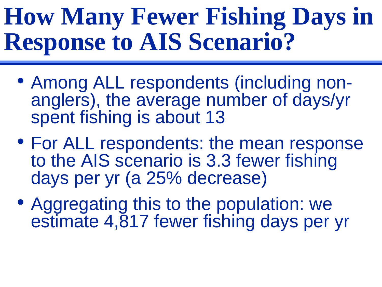# **How Many Fewer Fishing Days in Response to AIS Scenario?**

- Among ALL respondents (including nonanglers), the average number of days/yr spent fishing is about 13
- For ALL respondents: the mean response to the AIS scenario is 3.3 fewer fishing days per yr (a 25% decrease)
- Aggregating this to the population: we estimate 4,817 fewer fishing days per yr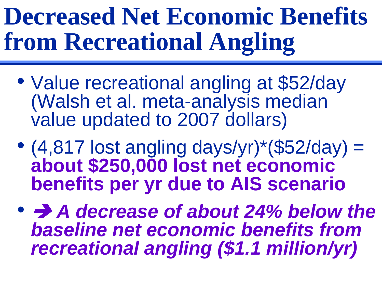**Decreased Net Economic Benefits from Recreational Angling**

- Value recreational angling at \$52/day (Walsh et al. meta-analysis median value updated to 2007 dollars)
- $\bullet$  (4,817 lost angling days/yr)\*(\$52/day) = **about \$250,000 lost net economic benefits per yr due to AIS scenario**
- *A decrease of about 24% below the baseline net economic benefits from recreational angling (\$1.1 million/yr)*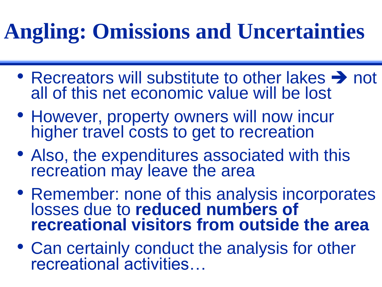### **Angling: Omissions and Uncertainties**

- Recreators will substitute to other lakes  $\rightarrow$  not all of this net economic value will be lost
- However, property owners will now incur higher travel costs to get to recreation
- Also, the expenditures associated with this recreation may leave the area
- Remember: none of this analysis incorporates losses due to **reduced numbers of recreational visitors from outside the area**
- Can certainly conduct the analysis for other recreational activities…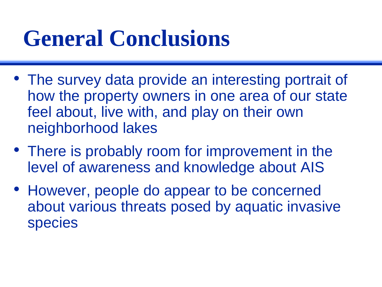### **General Conclusions**

- The survey data provide an interesting portrait of how the property owners in one area of our state feel about, live with, and play on their own neighborhood lakes
- There is probably room for improvement in the level of awareness and knowledge about AIS
- However, people do appear to be concerned about various threats posed by aquatic invasive species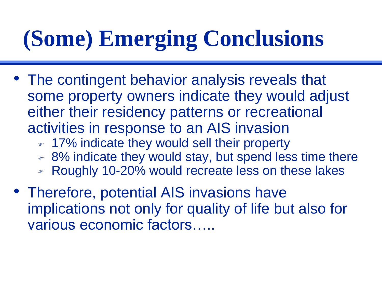### **(Some) Emerging Conclusions**

- The contingent behavior analysis reveals that some property owners indicate they would adjust either their residency patterns or recreational activities in response to an AIS invasion
	- 17% indicate they would sell their property
	- 8% indicate they would stay, but spend less time there
	- Roughly 10-20% would recreate less on these lakes
- Therefore, potential AIS invasions have implications not only for quality of life but also for various economic factors…..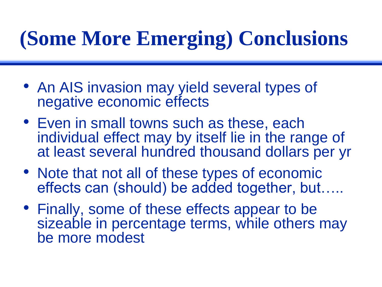### **(Some More Emerging) Conclusions**

- An AIS invasion may yield several types of negative economic effects
- Even in small towns such as these, each individual effect may by itself lie in the range of at least several hundred thousand dollars per yr
- Note that not all of these types of economic effects can (should) be added together, but…..
- Finally, some of these effects appear to be sizeable in percentage terms, while others may be more modest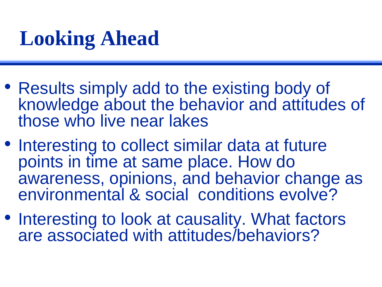### **Looking Ahead**

- Results simply add to the existing body of knowledge about the behavior and attitudes of those who live near lakes
- Interesting to collect similar data at future points in time at same place. How do awareness, opinions, and behavior change as environmental & social conditions evolve?
- Interesting to look at causality. What factors are associated with attitudes/behaviors?